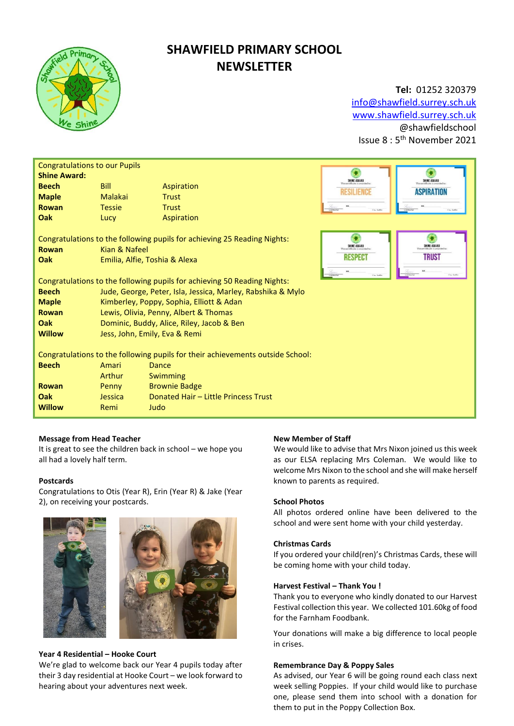

# **SHAWFIELD PRIMARY SCHOOL NEWSLETTER**

### **Tel:** 01252 320379

[info@shawfield.surrey.sch.uk](mailto:info@shawfield.surrey.sch.uk) [www.shawfield.surrey.sch.uk](http://www.shawfield.surrey.sch.uk/) @shawfieldschool Issue 8 : 5<sup>th</sup> November 2021

| <b>Congratulations to our Pupils</b><br><b>Shine Award:</b>                                                                                       |                                                             |                                      |                              |                                                              |  |  |
|---------------------------------------------------------------------------------------------------------------------------------------------------|-------------------------------------------------------------|--------------------------------------|------------------------------|--------------------------------------------------------------|--|--|
| <b>Beech</b>                                                                                                                                      | <b>Bill</b>                                                 | Aspiration                           | SHINE AWARD                  | SHINE AWARD                                                  |  |  |
| <b>Maple</b>                                                                                                                                      | Malakai                                                     | <b>Trust</b>                         | ESILIFNCE                    | <b>ASPIRATION</b>                                            |  |  |
| <b>Rowan</b>                                                                                                                                      | <b>Tessie</b>                                               | <b>Trust</b>                         | Herman                       | Case Send                                                    |  |  |
| Oak                                                                                                                                               | Lucy                                                        | Aspiration                           |                              |                                                              |  |  |
| Congratulations to the following pupils for achieving 25 Reading Nights:<br>Kian & Nafeel<br><b>Rowan</b><br>Oak<br>Emilia, Alfie, Toshia & Alexa |                                                             |                                      | SHINE AWARD<br><b>RESPEC</b> | SHINE AWARD<br>This certificate is awarded t<br><b>TRUST</b> |  |  |
| Congratulations to the following pupils for achieving 50 Reading Nights:                                                                          |                                                             |                                      |                              |                                                              |  |  |
| <b>Beech</b>                                                                                                                                      | Jude, George, Peter, Isla, Jessica, Marley, Rabshika & Mylo |                                      |                              |                                                              |  |  |
| <b>Maple</b>                                                                                                                                      | Kimberley, Poppy, Sophia, Elliott & Adan                    |                                      |                              |                                                              |  |  |
| <b>Rowan</b>                                                                                                                                      | Lewis, Olivia, Penny, Albert & Thomas                       |                                      |                              |                                                              |  |  |
| Oak                                                                                                                                               | Dominic, Buddy, Alice, Riley, Jacob & Ben                   |                                      |                              |                                                              |  |  |
| <b>Willow</b>                                                                                                                                     | Jess, John, Emily, Eva & Remi                               |                                      |                              |                                                              |  |  |
| Congratulations to the following pupils for their achievements outside School:<br><b>Beech</b><br>Amari<br>Dance                                  |                                                             |                                      |                              |                                                              |  |  |
|                                                                                                                                                   | Arthur                                                      | Swimming                             |                              |                                                              |  |  |
| <b>Rowan</b>                                                                                                                                      | Penny                                                       | <b>Brownie Badge</b>                 |                              |                                                              |  |  |
| Oak                                                                                                                                               | Jessica                                                     | Donated Hair - Little Princess Trust |                              |                                                              |  |  |
| <b>Willow</b>                                                                                                                                     | Remi                                                        | Judo                                 |                              |                                                              |  |  |

#### **Message from Head Teacher**

It is great to see the children back in school – we hope you all had a lovely half term.

#### **Postcards**

Congratulations to Otis (Year R), Erin (Year R) & Jake (Year 2), on receiving your postcards.





#### **Year 4 Residential – Hooke Court**

We're glad to welcome back our Year 4 pupils today after their 3 day residential at Hooke Court – we look forward to hearing about your adventures next week.

#### **New Member of Staff**

We would like to advise that Mrs Nixon joined us this week as our ELSA replacing Mrs Coleman. We would like to welcome Mrs Nixon to the school and she will make herself known to parents as required.

#### **School Photos**

All photos ordered online have been delivered to the school and were sent home with your child yesterday.

#### **Christmas Cards**

If you ordered your child(ren)'s Christmas Cards, these will be coming home with your child today.

#### **Harvest Festival – Thank You !**

Thank you to everyone who kindly donated to our Harvest Festival collection this year. We collected 101.60kg of food for the Farnham Foodbank.

Your donations will make a big difference to local people in crises.

#### **Remembrance Day & Poppy Sales**

As advised, our Year 6 will be going round each class next week selling Poppies. If your child would like to purchase one, please send them into school with a donation for them to put in the Poppy Collection Box.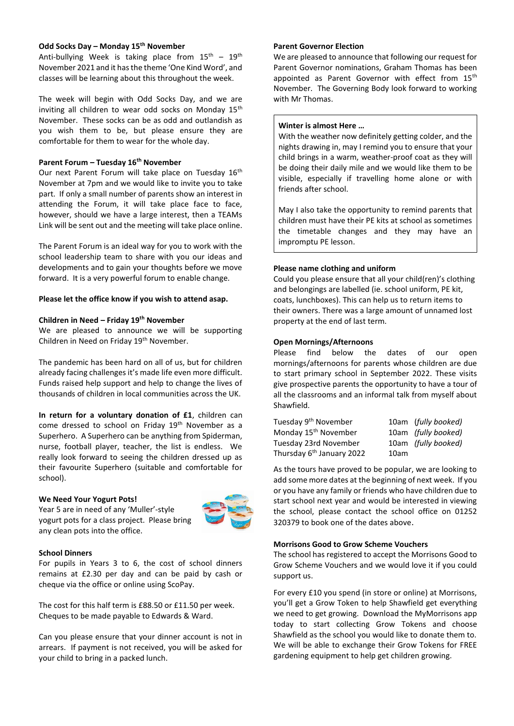#### **Odd Socks Day – Monday 15th November**

Anti-bullying Week is taking place from  $15<sup>th</sup> - 19<sup>th</sup>$ November 2021 and it has the theme 'One Kind Word', and classes will be learning about this throughout the week.

The week will begin with Odd Socks Day, and we are inviting all children to wear odd socks on Monday  $15<sup>th</sup>$ November. These socks can be as odd and outlandish as you wish them to be, but please ensure they are comfortable for them to wear for the whole day.

#### **Parent Forum – Tuesday 16th November**

Our next Parent Forum will take place on Tuesday 16<sup>th</sup> November at 7pm and we would like to invite you to take part. If only a small number of parents show an interest in attending the Forum, it will take place face to face, however, should we have a large interest, then a TEAMs Link will be sent out and the meeting will take place online.

The Parent Forum is an ideal way for you to work with the school leadership team to share with you our ideas and developments and to gain your thoughts before we move forward. It is a very powerful forum to enable change.

#### **Please let the office know if you wish to attend asap.**

#### **Children in Need – Friday 19th November**

We are pleased to announce we will be supporting Children in Need on Friday 19th November.

The pandemic has been hard on all of us, but for children already facing challenges it's made life even more difficult. Funds raised help support and help to change the lives of thousands of children in local communities across the UK.

**In return for a voluntary donation of £1**, children can come dressed to school on Friday 19<sup>th</sup> November as a Superhero. A Superhero can be anything from Spiderman, nurse, football player, teacher, the list is endless. We really look forward to seeing the children dressed up as their favourite Superhero (suitable and comfortable for school).

#### **We Need Your Yogurt Pots!**

Year 5 are in need of any 'Muller'-style yogurt pots for a class project. Please bring any clean pots into the office.



#### **School Dinners**

For pupils in Years 3 to 6, the cost of school dinners remains at £2.30 per day and can be paid by cash or cheque via the office or online using ScoPay.

The cost for this half term is £88.50 or £11.50 per week. Cheques to be made payable to Edwards & Ward.

Can you please ensure that your dinner account is not in arrears. If payment is not received, you will be asked for your child to bring in a packed lunch.

#### **Parent Governor Election**

We are pleased to announce that following our request for Parent Governor nominations, Graham Thomas has been appointed as Parent Governor with effect from 15<sup>th</sup> November. The Governing Body look forward to working with Mr Thomas.

#### **Winter is almost Here …**

With the weather now definitely getting colder, and the nights drawing in, may I remind you to ensure that your child brings in a warm, weather-proof coat as they will be doing their daily mile and we would like them to be visible, especially if travelling home alone or with friends after school.

May I also take the opportunity to remind parents that children must have their PE kits at school as sometimes the timetable changes and they may have an impromptu PE lesson.

#### **Please name clothing and uniform**

Could you please ensure that all your child(ren)'s clothing and belongings are labelled (ie. school uniform, PE kit, coats, lunchboxes). This can help us to return items to their owners. There was a large amount of unnamed lost property at the end of last term.

#### **Open Mornings/Afternoons**

Please find below the dates of our open mornings/afternoons for parents whose children are due to start primary school in September 2022. These visits give prospective parents the opportunity to have a tour of all the classrooms and an informal talk from myself about Shawfield.

| Tuesday 9 <sup>th</sup> November      |      | 10am (fully booked) |
|---------------------------------------|------|---------------------|
| Monday 15 <sup>th</sup> November      |      | 10am (fully booked) |
| Tuesday 23rd November                 |      | 10am (fully booked) |
| Thursday 6 <sup>th</sup> January 2022 | 10am |                     |

As the tours have proved to be popular, we are looking to add some more dates at the beginning of next week. If you or you have any family or friends who have children due to start school next year and would be interested in viewing the school, please contact the school office on 01252 320379 to book one of the dates above.

#### **Morrisons Good to Grow Scheme Vouchers**

The school has registered to accept the Morrisons Good to Grow Scheme Vouchers and we would love it if you could support us.

For every £10 you spend (in store or online) at Morrisons, you'll get a Grow Token to help Shawfield get everything we need to get growing. Download the MyMorrisons app today to start collecting Grow Tokens and choose Shawfield as the school you would like to donate them to. We will be able to exchange their Grow Tokens for FREE gardening equipment to help get children growing.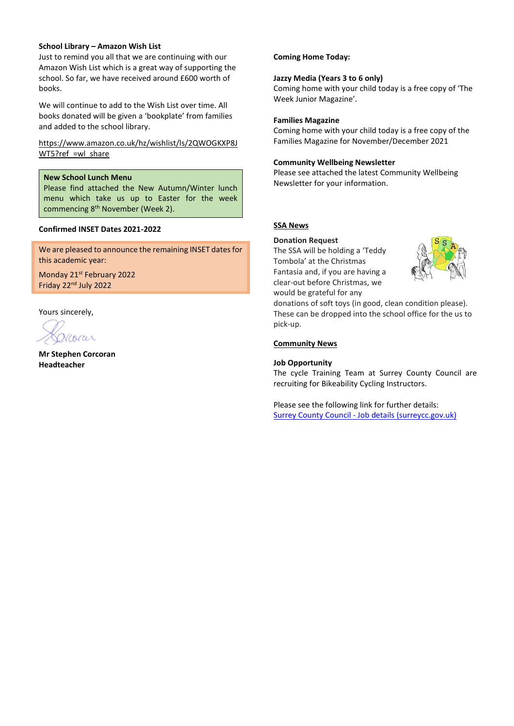#### **School Library – Amazon Wish List**

Just to remind you all that we are continuing with our Amazon Wish List which is a great way of supporting the school. So far, we have received around £600 worth of books.

We will continue to add to the Wish List over time. All books donated will be given a 'bookplate' from families and added to the school library.

#### [https://www.amazon.co.uk/hz/wishlist/ls/2QWOGKXP8J](https://www.amazon.co.uk/hz/wishlist/ls/2QWOGKXP8JWT5?ref_=wl_share) WT5?ref =wl\_share

#### **New School Lunch Menu**

Please find attached the New Autumn/Winter lunch menu which take us up to Easter for the week commencing 8<sup>th</sup> November (Week 2).

#### **Confirmed INSET Dates 2021-2022**

We are pleased to announce the remaining INSET dates for this academic year:

Monday 21<sup>st</sup> February 2022 Friday 22<sup>nd</sup> July 2022

Yours sincerely,

Vcorar

**Mr Stephen Corcoran Headteacher**

#### **Coming Home Today:**

#### **Jazzy Media (Years 3 to 6 only)**

Coming home with your child today is a free copy of 'The Week Junior Magazine'.

#### **Families Magazine**

Coming home with your child today is a free copy of the Families Magazine for November/December 2021

#### **Community Wellbeing Newsletter**

Please see attached the latest Community Wellbeing Newsletter for your information.

#### **SSA News**

#### **Donation Request**

The SSA will be holding a 'Teddy Tombola' at the Christmas Fantasia and, if you are having a clear-out before Christmas, we would be grateful for any



donations of soft toys (in good, clean condition please). These can be dropped into the school office for the us to pick-up.

#### **Community News**

#### **Job Opportunity**

The cycle Training Team at Surrey County Council are recruiting for Bikeability Cycling Instructors.

Please see the following link for further details: Surrey County Council - Job details [\(surreycc.gov.uk\)](https://www.surreycc.gov.uk/jobs/search/details?id=17984)